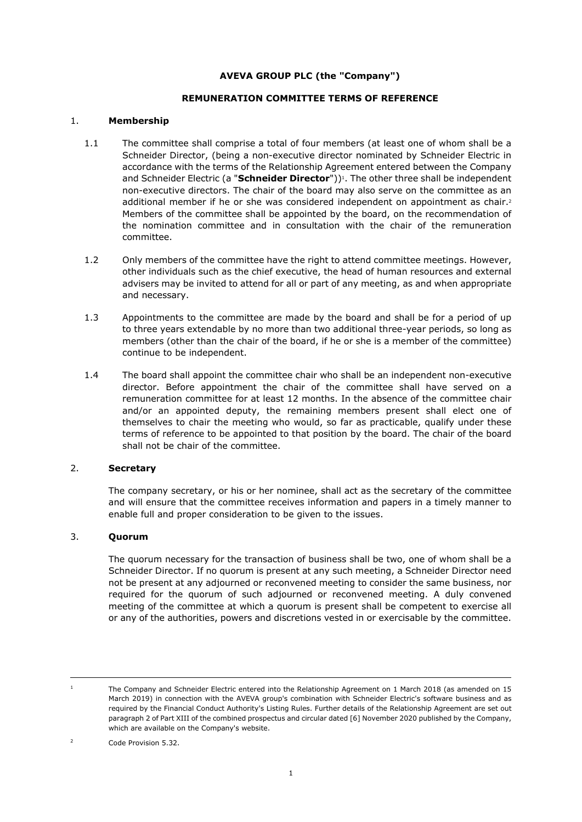# **AVEVA GROUP PLC (the "Company")**

#### **REMUNERATION COMMITTEE TERMS OF REFERENCE**

#### 1. **Membership**

- 1.1 The committee shall comprise a total of four members (at least one of whom shall be a Schneider Director, (being a non-executive director nominated by Schneider Electric in accordance with the terms of the Relationship Agreement entered between the Company and Schneider Electric (a "**Schneider Director**"))<sup>1</sup>. The other three shall be independent non-executive directors. The chair of the board may also serve on the committee as an additional member if he or she was considered independent on appointment as chair.<sup>2</sup> Members of the committee shall be appointed by the board, on the recommendation of the nomination committee and in consultation with the chair of the remuneration committee.
- 1.2 Only members of the committee have the right to attend committee meetings. However, other individuals such as the chief executive, the head of human resources and external advisers may be invited to attend for all or part of any meeting, as and when appropriate and necessary.
- 1.3 Appointments to the committee are made by the board and shall be for a period of up to three years extendable by no more than two additional three-year periods, so long as members (other than the chair of the board, if he or she is a member of the committee) continue to be independent.
- 1.4 The board shall appoint the committee chair who shall be an independent non-executive director. Before appointment the chair of the committee shall have served on a remuneration committee for at least 12 months. In the absence of the committee chair and/or an appointed deputy, the remaining members present shall elect one of themselves to chair the meeting who would, so far as practicable, qualify under these terms of reference to be appointed to that position by the board. The chair of the board shall not be chair of the committee.

### 2. **Secretary**

The company secretary, or his or her nominee, shall act as the secretary of the committee and will ensure that the committee receives information and papers in a timely manner to enable full and proper consideration to be given to the issues.

# 3. **Quorum**

The quorum necessary for the transaction of business shall be two, one of whom shall be a Schneider Director. If no quorum is present at any such meeting, a Schneider Director need not be present at any adjourned or reconvened meeting to consider the same business, nor required for the quorum of such adjourned or reconvened meeting. A duly convened meeting of the committee at which a quorum is present shall be competent to exercise all or any of the authorities, powers and discretions vested in or exercisable by the committee.

<sup>&</sup>lt;sup>1</sup> The Company and Schneider Electric entered into the Relationship Agreement on 1 March 2018 (as amended on 15 March 2019) in connection with the AVEVA group's combination with Schneider Electric's software business and as required by the Financial Conduct Authority's Listing Rules. Further details of the Relationship Agreement are set out paragraph 2 of Part XIII of the combined prospectus and circular dated [6] November 2020 published by the Company, which are available on the Company's website.

<sup>2</sup> Code Provision 5.32.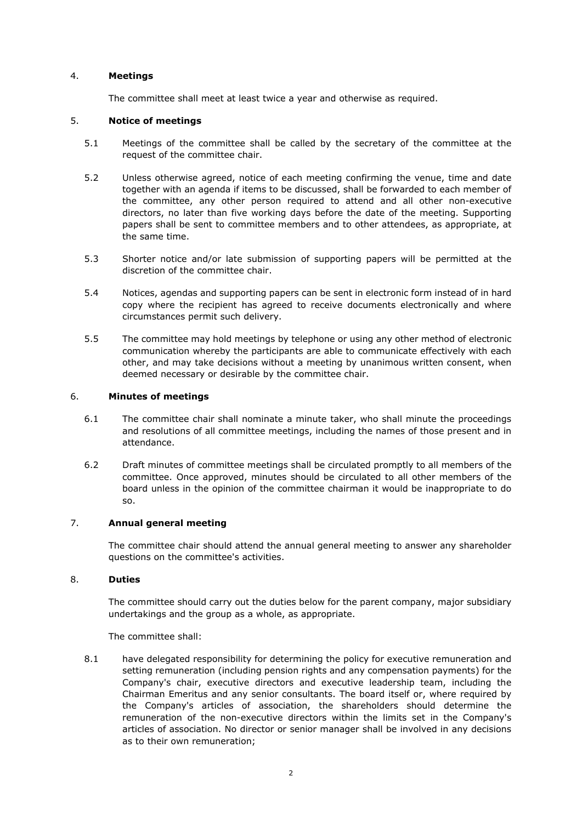### 4. **Meetings**

The committee shall meet at least twice a year and otherwise as required.

#### 5. **Notice of meetings**

- 5.1 Meetings of the committee shall be called by the secretary of the committee at the request of the committee chair.
- 5.2 Unless otherwise agreed, notice of each meeting confirming the venue, time and date together with an agenda if items to be discussed, shall be forwarded to each member of the committee, any other person required to attend and all other non-executive directors, no later than five working days before the date of the meeting. Supporting papers shall be sent to committee members and to other attendees, as appropriate, at the same time.
- 5.3 Shorter notice and/or late submission of supporting papers will be permitted at the discretion of the committee chair.
- 5.4 Notices, agendas and supporting papers can be sent in electronic form instead of in hard copy where the recipient has agreed to receive documents electronically and where circumstances permit such delivery.
- 5.5 The committee may hold meetings by telephone or using any other method of electronic communication whereby the participants are able to communicate effectively with each other, and may take decisions without a meeting by unanimous written consent, when deemed necessary or desirable by the committee chair.

### 6. **Minutes of meetings**

- 6.1 The committee chair shall nominate a minute taker, who shall minute the proceedings and resolutions of all committee meetings, including the names of those present and in attendance.
- 6.2 Draft minutes of committee meetings shall be circulated promptly to all members of the committee. Once approved, minutes should be circulated to all other members of the board unless in the opinion of the committee chairman it would be inappropriate to do so.

# 7. **Annual general meeting**

The committee chair should attend the annual general meeting to answer any shareholder questions on the committee's activities.

### 8. **Duties**

The committee should carry out the duties below for the parent company, major subsidiary undertakings and the group as a whole, as appropriate.

The committee shall:

8.1 have delegated responsibility for determining the policy for executive remuneration and setting remuneration (including pension rights and any compensation payments) for the Company's chair, executive directors and executive leadership team, including the Chairman Emeritus and any senior consultants. The board itself or, where required by the Company's articles of association, the shareholders should determine the remuneration of the non-executive directors within the limits set in the Company's articles of association. No director or senior manager shall be involved in any decisions as to their own remuneration;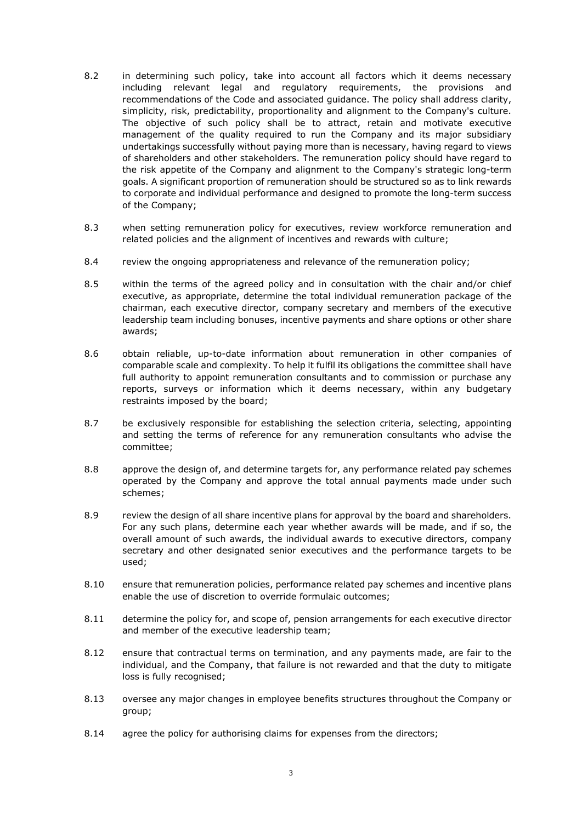- 8.2 in determining such policy, take into account all factors which it deems necessary including relevant legal and regulatory requirements, the provisions and recommendations of the Code and associated guidance. The policy shall address clarity, simplicity, risk, predictability, proportionality and alignment to the Company's culture. The objective of such policy shall be to attract, retain and motivate executive management of the quality required to run the Company and its major subsidiary undertakings successfully without paying more than is necessary, having regard to views of shareholders and other stakeholders. The remuneration policy should have regard to the risk appetite of the Company and alignment to the Company's strategic long-term goals. A significant proportion of remuneration should be structured so as to link rewards to corporate and individual performance and designed to promote the long-term success of the Company;
- 8.3 when setting remuneration policy for executives, review workforce remuneration and related policies and the alignment of incentives and rewards with culture;
- 8.4 review the ongoing appropriateness and relevance of the remuneration policy;
- 8.5 within the terms of the agreed policy and in consultation with the chair and/or chief executive, as appropriate, determine the total individual remuneration package of the chairman, each executive director, company secretary and members of the executive leadership team including bonuses, incentive payments and share options or other share awards;
- 8.6 obtain reliable, up-to-date information about remuneration in other companies of comparable scale and complexity. To help it fulfil its obligations the committee shall have full authority to appoint remuneration consultants and to commission or purchase any reports, surveys or information which it deems necessary, within any budgetary restraints imposed by the board;
- 8.7 be exclusively responsible for establishing the selection criteria, selecting, appointing and setting the terms of reference for any remuneration consultants who advise the committee;
- 8.8 approve the design of, and determine targets for, any performance related pay schemes operated by the Company and approve the total annual payments made under such schemes;
- 8.9 review the design of all share incentive plans for approval by the board and shareholders. For any such plans, determine each year whether awards will be made, and if so, the overall amount of such awards, the individual awards to executive directors, company secretary and other designated senior executives and the performance targets to be used;
- 8.10 ensure that remuneration policies, performance related pay schemes and incentive plans enable the use of discretion to override formulaic outcomes;
- 8.11 determine the policy for, and scope of, pension arrangements for each executive director and member of the executive leadership team;
- 8.12 ensure that contractual terms on termination, and any payments made, are fair to the individual, and the Company, that failure is not rewarded and that the duty to mitigate loss is fully recognised;
- 8.13 oversee any major changes in employee benefits structures throughout the Company or group;
- 8.14 agree the policy for authorising claims for expenses from the directors;